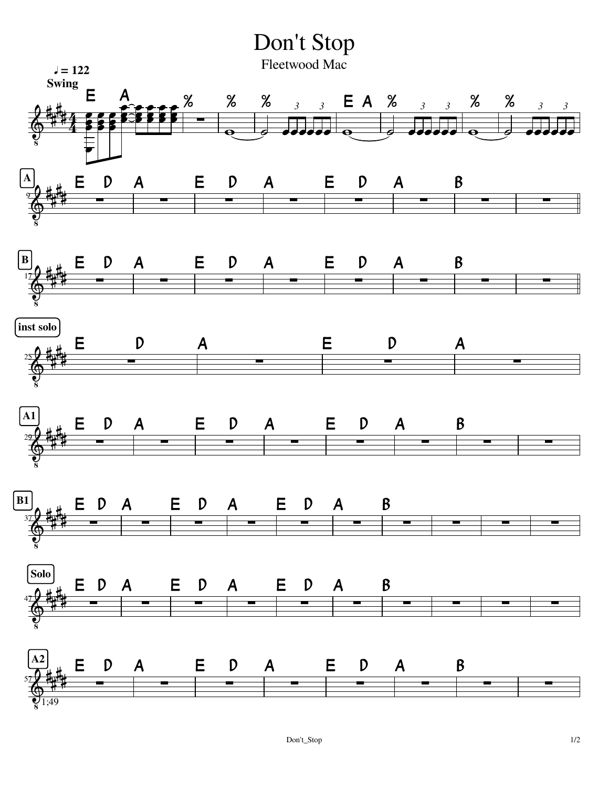